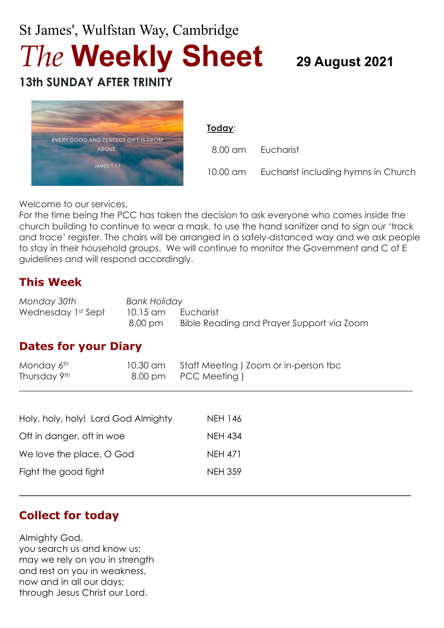# St James', Wulfstan Way, Cambridge *The* **Weekly Sheet <sup>29</sup> August <sup>2021</sup>**

# **13th SUNDAY AFTER TRINITY**



#### **Today**:

| 8.00 am Eucharist                            |
|----------------------------------------------|
| 10.00 am Eucharist including hymns in Church |

Welcome to our services.

For the time being the PCC has taken the decision to ask everyone who comes inside the church building to continue to wear a mask, to use the hand sanitizer and to sign our 'track and trace' register. The chairs will be arranged in a safely-distanced way and we ask people to stay in their household groups. We will continue to monitor the Government and C of E guidelines and will respond accordingly.

\_\_\_\_\_\_\_\_\_\_\_\_\_\_\_\_\_\_\_\_\_\_\_\_\_\_\_\_\_\_\_\_\_\_\_\_\_\_\_\_\_\_\_\_\_\_\_\_\_\_\_\_\_\_\_\_\_

#### **This Week**

| Monday 30th        | Bank Holiday      |                                           |
|--------------------|-------------------|-------------------------------------------|
| Wednesday 1st Sept | 10.15 am          | Eucharist                                 |
|                    | $8.00 \text{ pm}$ | Bible Reading and Prayer Support via Zoom |

#### **Dates for your Diary**

| Monday 6th   | 10.30 am | Staff Meeting) Zoom or in-person tbc |
|--------------|----------|--------------------------------------|
| Thursday 9th |          | 8.00 pm PCC Meeting)                 |
|              |          |                                      |

| Holy, holy, holy! Lord God Almighty | <b>NEH 146</b> |
|-------------------------------------|----------------|
| Oft in danger, oft in woe           | <b>NEH 434</b> |
| We love the place, O God            | <b>NEH 471</b> |
| Fight the good fight                | <b>NEH 359</b> |

# **Collect for today**

Almighty God, you search us and know us: may we rely on you in strength and rest on you in weakness, now and in all our days; through Jesus Christ our Lord.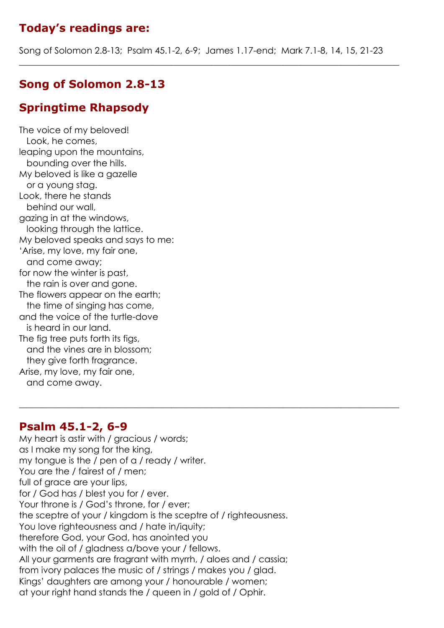# **Today's readings are:**

Song of Solomon 2.8-13; Psalm 45.1-2, 6-9; James 1.17-end; Mark 7.1-8, 14, 15, 21-23

 $\_$  , and the set of the set of the set of the set of the set of the set of the set of the set of the set of the set of the set of the set of the set of the set of the set of the set of the set of the set of the set of th

 $\_$  , and the set of the set of the set of the set of the set of the set of the set of the set of the set of the set of the set of the set of the set of the set of the set of the set of the set of the set of the set of th

#### **Song of Solomon 2.8-13**

#### **Springtime Rhapsody**

The voice of my beloved! Look, he comes, leaping upon the mountains, bounding over the hills. My beloved is like a gazelle or a young stag. Look, there he stands behind our wall, gazing in at the windows, looking through the lattice. My beloved speaks and says to me: 'Arise, my love, my fair one, and come away; for now the winter is past, the rain is over and gone. The flowers appear on the earth; the time of singing has come, and the voice of the turtle-dove is heard in our land. The fig tree puts forth its figs, and the vines are in blossom; they give forth fragrance. Arise, my love, my fair one, and come away.

#### **Psalm 45.1-2, 6-9**

My heart is astir with / gracious / words; as I make my song for the king, my tongue is the / pen of a / ready / writer. You are the / fairest of / men; full of grace are your lips, for / God has / blest you for / ever. Your throne is / God's throne, for / ever; the sceptre of your / kingdom is the sceptre of / righteousness. You love righteousness and / hate in/iquity; therefore God, your God, has anointed you with the oil of / gladness a/bove your / fellows. All your garments are fragrant with myrrh, / aloes and / cassia; from ivory palaces the music of / strings / makes you / glad. Kings' daughters are among your / honourable / women; at your right hand stands the / queen in / gold of / Ophir.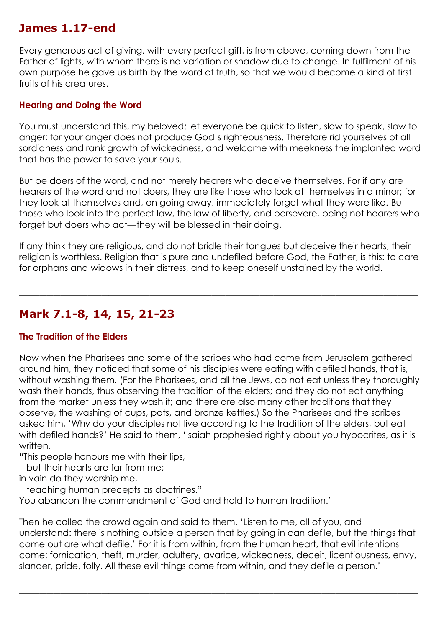#### **James 1.17-end**

Every generous act of giving, with every perfect gift, is from above, coming down from the Father of lights, with whom there is no variation or shadow due to change. In fulfilment of his own purpose he gave us birth by the word of truth, so that we would become a kind of first fruits of his creatures.

#### **Hearing and Doing the Word**

You must understand this, my beloved: let everyone be quick to listen, slow to speak, slow to anger; for your anger does not produce God's righteousness. Therefore rid yourselves of all sordidness and rank growth of wickedness, and welcome with meekness the implanted word that has the power to save your souls.

But be doers of the word, and not merely hearers who deceive themselves. For if any are hearers of the word and not doers, they are like those who look at themselves in a mirror; for they look at themselves and, on going away, immediately forget what they were like. But those who look into the perfect law, the law of liberty, and persevere, being not hearers who forget but doers who act—they will be blessed in their doing.

If any think they are religious, and do not bridle their tongues but deceive their hearts, their religion is worthless. Religion that is pure and undefiled before God, the Father, is this: to care for orphans and widows in their distress, and to keep oneself unstained by the world.

\_\_\_\_\_\_\_\_\_\_\_\_\_\_\_\_\_\_\_\_\_\_\_\_\_\_\_\_\_\_\_\_\_\_\_\_\_\_\_\_\_\_\_\_\_\_\_\_\_\_\_\_\_\_\_\_\_\_

# **Mark 7.1-8, 14, 15, 21-23**

#### **The Tradition of the Elders**

Now when the Pharisees and some of the scribes who had come from Jerusalem gathered around him, they noticed that some of his disciples were eating with defiled hands, that is, without washing them. (For the Pharisees, and all the Jews, do not eat unless they thoroughly wash their hands, thus observing the tradition of the elders; and they do not eat anything from the market unless they wash it; and there are also many other traditions that they observe, the washing of cups, pots, and bronze kettles.) So the Pharisees and the scribes asked him, 'Why do your disciples not live according to the tradition of the elders, but eat with defiled hands?' He said to them, 'Isaiah prophesied rightly about you hypocrites, as it is written,

"This people honours me with their lips,

but their hearts are far from me;

in vain do they worship me,

teaching human precepts as doctrines."

You abandon the commandment of God and hold to human tradition.'

Then he called the crowd again and said to them, 'Listen to me, all of you, and understand: there is nothing outside a person that by going in can defile, but the things that come out are what defile.' For it is from within, from the human heart, that evil intentions come: fornication, theft, murder, adultery, avarice, wickedness, deceit, licentiousness, envy, slander, pride, folly. All these evil things come from within, and they defile a person.'

\_\_\_\_\_\_\_\_\_\_\_\_\_\_\_\_\_\_\_\_\_\_\_\_\_\_\_\_\_\_\_\_\_\_\_\_\_\_\_\_\_\_\_\_\_\_\_\_\_\_\_\_\_\_\_\_\_\_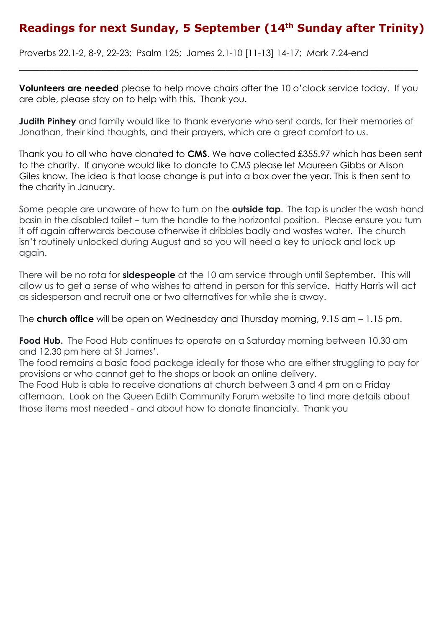#### **Readings for next Sunday, 5 September (14th Sunday after Trinity)**

Proverbs 22.1-2, 8-9, 22-23; Psalm 125; James 2.1-10 [11-13] 14-17; Mark 7.24-end

**Volunteers are needed** please to help move chairs after the 10 o'clock service today. If you are able, please stay on to help with this. Thank you.

\_\_\_\_\_\_\_\_\_\_\_\_\_\_\_\_\_\_\_\_\_\_\_\_\_\_\_\_\_\_\_\_\_\_\_\_\_\_\_\_\_\_\_\_\_\_\_\_\_\_\_\_\_\_\_\_\_\_

**Judith Pinhey** and family would like to thank everyone who sent cards, for their memories of Jonathan, their kind thoughts, and their prayers, which are a great comfort to us.

Thank you to all who have donated to **CMS**. We have collected £355.97 which has been sent to the charity. If anyone would like to donate to CMS please let Maureen Gibbs or Alison Giles know. The idea is that loose change is put into a box over the year. This is then sent to the charity in January.

Some people are unaware of how to turn on the **outside tap**. The tap is under the wash hand basin in the disabled toilet – turn the handle to the horizontal position. Please ensure you turn it off again afterwards because otherwise it dribbles badly and wastes water. The church isn't routinely unlocked during August and so you will need a key to unlock and lock up again.

There will be no rota for **sidespeople** at the 10 am service through until September. This will allow us to get a sense of who wishes to attend in person for this service. Hatty Harris will act as sidesperson and recruit one or two alternatives for while she is away.

The **church office** will be open on Wednesday and Thursday morning, 9.15 am – 1.15 pm.

**Food Hub.** The Food Hub continues to operate on a Saturday morning between 10.30 am and 12.30 pm here at St James'.

The food remains a basic food package ideally for those who are either struggling to pay for provisions or who cannot get to the shops or book an online delivery.

The Food Hub is able to receive donations at church between 3 and 4 pm on a Friday afternoon. Look on the Queen Edith Community Forum website to find more details about those items most needed - and about how to donate financially. Thank you